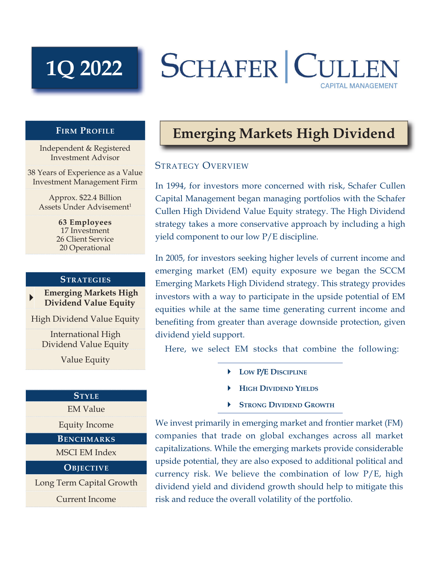# **1Q 2022**

## **SCHAFER CULL CAPITAL MANAGEMENT**

#### **FIRM PROFILE**

Independent & Registered Investment Advisor

38 Years of Experience as a Value Investment Management Firm

Approx. \$22.4 Billion Assets Under Advisement<sup>1</sup>

> **63 Employees** 17 Investment 26 Client Service 20 Operational

#### **STRATEGIES**

 **Emerging Markets High Dividend Value Equity**

High Dividend Value Equity

International High Dividend Value Equity

Value Equity

#### **STYLE**

EM Value

Equity Income

### **BENCHMARKS**

MSCI EM Index

#### **OBJECTIVE**

Long Term Capital Growth Current Income

## **Emerging Markets High Dividend**

#### STRATEGY OVERVIEW

In 1994, for investors more concerned with risk, Schafer Cullen Capital Management began managing portfolios with the Schafer Cullen High Dividend Value Equity strategy. The High Dividend strategy takes a more conservative approach by including a high yield component to our low P/E discipline.

In 2005, for investors seeking higher levels of current income and emerging market (EM) equity exposure we began the SCCM Emerging Markets High Dividend strategy. This strategy provides investors with a way to participate in the upside potential of EM equities while at the same time generating current income and benefiting from greater than average downside protection, given dividend yield support.

Here, we select EM stocks that combine the following:

- **LOW P/E DISCIPLINE**
- **HIGH DIVIDEND YIELDS**
- **STRONG DIVIDEND GROWTH**

We invest primarily in emerging market and frontier market (FM) companies that trade on global exchanges across all market capitalizations. While the emerging markets provide considerable upside potential, they are also exposed to additional political and currency risk. We believe the combination of low P/E, high dividend yield and dividend growth should help to mitigate this risk and reduce the overall volatility of the portfolio.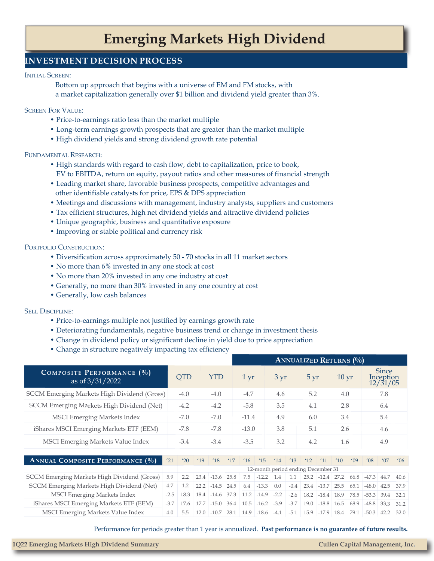## **Emerging Markets High Dividend**

#### **INVESTMENT DECISION PROCESS**

#### INITIAL SCREEN:

 Bottom up approach that begins with a universe of EM and FM stocks, with a market capitalization generally over \$1 billion and dividend yield greater than 3%.

#### SCREEN FOR VALUE:

- Price-to-earnings ratio less than the market multiple
- Long-term earnings growth prospects that are greater than the market multiple
- High dividend yields and strong dividend growth rate potential

#### FUNDAMENTAL RESEARCH:

- High standards with regard to cash flow, debt to capitalization, price to book, EV to EBITDA, return on equity, payout ratios and other measures of financial strength
- Leading market share, favorable business prospects, competitive advantages and other identifiable catalysts for price, EPS & DPS appreciation
- Meetings and discussions with management, industry analysts, suppliers and customers
- Tax efficient structures, high net dividend yields and attractive dividend policies
- Unique geographic, business and quantitative exposure
- Improving or stable political and currency risk

#### PORTFOLIO CONSTRUCTION:

- Diversification across approximately 50 70 stocks in all 11 market sectors
- No more than 6% invested in any one stock at cost
- No more than 20% invested in any one industry at cost
- Generally, no more than 30% invested in any one country at cost
- Generally, low cash balances

#### SELL DISCIPLINE:

- Price-to-earnings multiple not justified by earnings growth rate
- Deteriorating fundamentals, negative business trend or change in investment thesis
- Change in dividend policy or significant decline in yield due to price appreciation
- Change in structure negatively impacting tax efficiency

|                                                |        |            |      |            |      | <b>ANNUALIZED RETURNS (%)</b> |                   |        |        |      |                                    |                    |      |                |                                       |                |
|------------------------------------------------|--------|------------|------|------------|------|-------------------------------|-------------------|--------|--------|------|------------------------------------|--------------------|------|----------------|---------------------------------------|----------------|
| COMPOSITE PERFORMANCE (%)<br>as of $3/31/2022$ |        | <b>QTD</b> |      | <b>YTD</b> |      | $1 \,\mathrm{yr}$             |                   | 3 yr   |        | 5 yr |                                    | $10 \,\mathrm{yr}$ |      |                | <b>Since</b><br>Inception<br>12/31/05 |                |
| SCCM Emerging Markets High Dividend (Gross)    |        | $-4.0$     |      | $-4.0$     |      | $-4.7$                        |                   | 4.6    |        | 5.2  |                                    | 4.0                |      |                | 7.8                                   |                |
| SCCM Emerging Markets High Dividend (Net)      |        | $-4.2$     |      | $-4.2$     |      | $-5.8$                        |                   | 3.5    |        | 4.1  |                                    | 2.8                |      |                | 6.4                                   |                |
| <b>MSCI Emerging Markets Index</b>             |        | $-7.0$     |      | $-7.0$     |      | $-11.4$                       |                   | 4.9    |        | 6.0  |                                    | 3.4                |      |                | 5.4                                   |                |
| iShares MSCI Emerging Markets ETF (EEM)        |        | $-7.8$     |      | $-7.8$     |      | $-13.0$                       |                   | 3.8    |        | 5.1  |                                    | 2.6                |      |                | 4.6                                   |                |
| MSCI Emerging Markets Value Index              |        | $-3.4$     |      | $-3.4$     |      | $-3.5$                        |                   | 3.2    |        | 4.2  |                                    | 1.6                |      |                | 4.9                                   |                |
| <b>ANNUAL COMPOSITE PERFORMANCE (%)</b>        | '21    | '20        | '19  | 18         | 17'  | 16                            | '15               | '14    | 13     | 12   | '11                                | '10                | '09  | $^{\prime}$ 08 | '07                                   | $^{\prime}$ 06 |
|                                                |        |            |      |            |      |                               |                   |        |        |      | 12-month period ending December 31 |                    |      |                |                                       |                |
| SCCM Emerging Markets High Dividend (Gross)    | 5.9    | 2.2        | 23.4 | $-13.6$    | 25.8 | 7.5                           | $-12.2$           | 1.4    | 1.1    |      | $25.2$ $-12.4$ $27.2$              |                    | 66.8 | $-47.3$        | 44.7                                  | 40.6           |
| SCCM Emerging Markets High Dividend (Net)      | 4.7    | 1.2        | 22.2 | $-14.5$    | 24.5 | 6.4                           | $-13.3$           | 0.0    | $-0.4$ |      | $23.4$ -13.7                       | 25.5               | 65.1 | $-48.0$        | 42.5                                  | 37.9           |
| <b>MSCI Emerging Markets Index</b>             | $-2.5$ | 18.3       | 18.4 | $-14.6$    | 37.3 | 11.2                          | $-14.9$           | $-2.2$ | $-2.6$ |      | $18.2$ $-18.4$ $18.9$              |                    | 78.5 | $-53.3$        | 39.4                                  | 32.1           |
| iShares MSCI Emerging Markets ETF (EEM)        | $-3.7$ | 17.6       | 17.7 | $-15.0$    | 36.4 | 10.5                          | $-16.2$ $-3.9$    |        | $-3.7$ | 19.0 | $-18.8$ 16.5                       |                    | 68.9 | $-48.8$        | 33.3                                  | 31.2           |
| MSCI Emerging Markets Value Index              | 4.0    | 5.5        | 12.0 | $-10.7$    | 28.1 |                               | $14.9$ -18.6 -4.1 |        |        |      | $-5.1$ 15.9 $-17.9$ 18.4           |                    |      | $79.1 - 50.3$  | 42.2                                  | 32.0           |

Performance for periods greater than 1 year is annualized. **Past performance is no guarantee of future results.**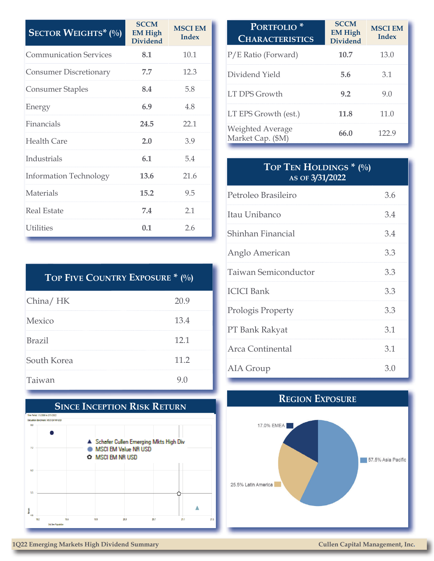| <b>SECTOR WEIGHTS*</b> $(\%)$ | <b>SCCM</b><br><b>EM High</b><br><b>Dividend</b> | <b>MSCI EM</b><br><b>Index</b> |
|-------------------------------|--------------------------------------------------|--------------------------------|
| <b>Communication Services</b> | 8.1                                              | 10.1                           |
| <b>Consumer Discretionary</b> | 7.7                                              | 12.3                           |
| <b>Consumer Staples</b>       | 8.4                                              | 5.8                            |
| Energy                        | 6.9                                              | 4.8                            |
| Financials                    | 24.5                                             | 22.1                           |
| <b>Health Care</b>            | 2.0                                              | 3.9                            |
| Industrials                   | 6.1                                              | 5.4                            |
| <b>Information Technology</b> | 13.6                                             | 21.6                           |
| Materials                     | 15.2                                             | 9.5                            |
| <b>Real Estate</b>            | 7.4                                              | 2.1                            |
| <b>Utilities</b>              | 0.1                                              | 2.6                            |

| TOP FIVE COUNTRY EXPOSURE * (%) |      |
|---------------------------------|------|
| China/HK                        | 20.9 |
| Mexico                          | 13.4 |
| Brazil                          | 12.1 |
| South Korea                     | 11.2 |
| Taiwan                          | 9()  |



| <b>PORTFOLIO</b><br><b>CHARACTERISTICS</b>   | <b>SCCM</b><br><b>EM High</b><br><b>Dividend</b> | <b>MSCI EM</b><br><b>Index</b> |
|----------------------------------------------|--------------------------------------------------|--------------------------------|
| P/E Ratio (Forward)                          | 10.7                                             | 13.0                           |
| Dividend Yield                               | 5.6                                              | 3.1                            |
| <b>LT DPS Growth</b>                         | 9.2                                              | 9.0                            |
| LT EPS Growth (est.)                         | 11.8                                             | 11.0                           |
| <b>Weighted Average</b><br>Market Cap. (\$M) | 66.0                                             | 122.9                          |

### **TOP TEN HOLDINGS \* (%) AS OF 3/31/2022**

| Petroleo Brasileiro  | 3.6 |
|----------------------|-----|
| Itau Unibanco        | 3.4 |
| Shinhan Financial    | 3.4 |
| Anglo American       | 3.3 |
| Taiwan Semiconductor | 3.3 |
| <b>ICICI</b> Bank    | 3.3 |
| Prologis Property    | 3.3 |
| PT Bank Rakyat       | 3.1 |
| Arca Continental     | 3.1 |
| AIA Group            | 3.0 |

## **REGION EXPOSURE**



#### **1Q22 Emerging Markets High Dividend Summary Cullen Capital Management, Inc.**